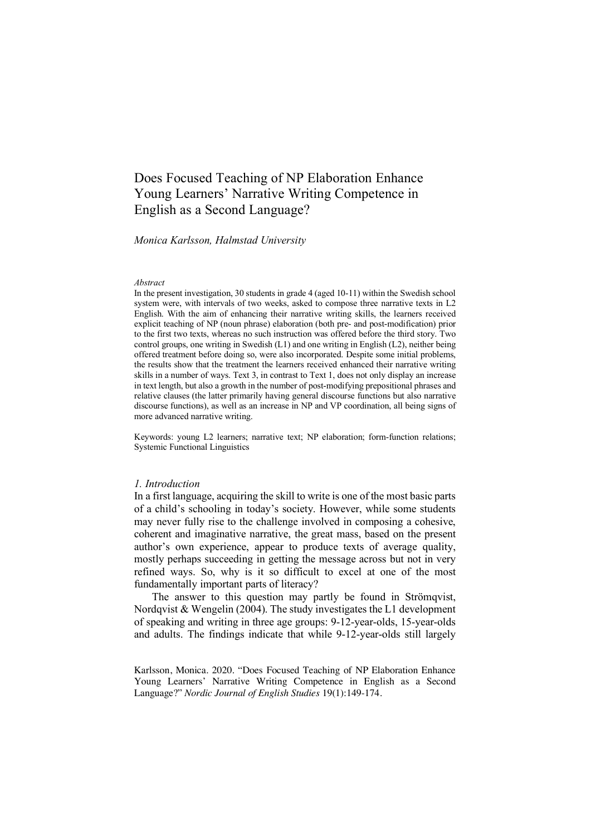# Does Focused Teaching of NP Elaboration Enhance Young Learners' Narrative Writing Competence in English as a Second Language?

#### *Monica Karlsson, Halmstad University*

#### *Abstract*

In the present investigation, 30 students in grade 4 (aged 10-11) within the Swedish school system were, with intervals of two weeks, asked to compose three narrative texts in L2 English. With the aim of enhancing their narrative writing skills, the learners received explicit teaching of NP (noun phrase) elaboration (both pre- and post-modification) prior to the first two texts, whereas no such instruction was offered before the third story. Two control groups, one writing in Swedish (L1) and one writing in English (L2), neither being offered treatment before doing so, were also incorporated. Despite some initial problems, the results show that the treatment the learners received enhanced their narrative writing skills in a number of ways. Text 3, in contrast to Text 1, does not only display an increase in text length, but also a growth in the number of post-modifying prepositional phrases and relative clauses (the latter primarily having general discourse functions but also narrative discourse functions), as well as an increase in NP and VP coordination, all being signs of more advanced narrative writing.

Keywords: young L2 learners; narrative text; NP elaboration; form-function relations; Systemic Functional Linguistics

#### *1. Introduction*

In a first language, acquiring the skill to write is one of the most basic parts of a child's schooling in today's society. However, while some students may never fully rise to the challenge involved in composing a cohesive, coherent and imaginative narrative, the great mass, based on the present author's own experience, appear to produce texts of average quality, mostly perhaps succeeding in getting the message across but not in very refined ways. So, why is it so difficult to excel at one of the most fundamentally important parts of literacy?

The answer to this question may partly be found in Strömqvist, Nordqvist & Wengelin (2004). The study investigates the L1 development of speaking and writing in three age groups: 9-12-year-olds, 15-year-olds and adults. The findings indicate that while 9-12-year-olds still largely

Karlsson, Monica. 2020. "Does Focused Teaching of NP Elaboration Enhance Young Learners' Narrative Writing Competence in English as a Second Language?" *Nordic Journal of English Studies* 19(1):149-174.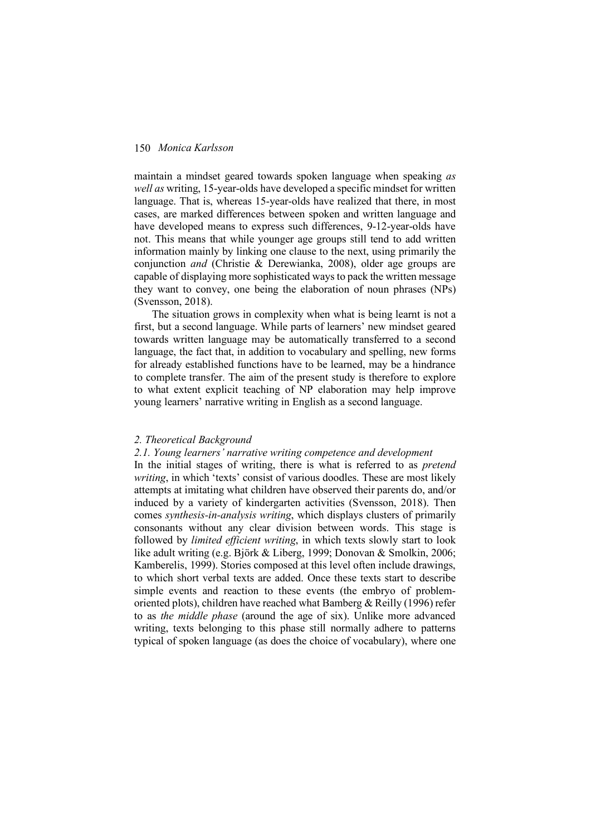maintain a mindset geared towards spoken language when speaking *as well as* writing, 15-year-olds have developed a specific mindset for written language. That is, whereas 15-year-olds have realized that there, in most cases, are marked differences between spoken and written language and have developed means to express such differences, 9-12-year-olds have not. This means that while younger age groups still tend to add written information mainly by linking one clause to the next, using primarily the conjunction *and* (Christie & Derewianka, 2008), older age groups are capable of displaying more sophisticated ways to pack the written message they want to convey, one being the elaboration of noun phrases (NPs) (Svensson, 2018).

The situation grows in complexity when what is being learnt is not a first, but a second language. While parts of learners' new mindset geared towards written language may be automatically transferred to a second language, the fact that, in addition to vocabulary and spelling, new forms for already established functions have to be learned, may be a hindrance to complete transfer. The aim of the present study is therefore to explore to what extent explicit teaching of NP elaboration may help improve young learners' narrative writing in English as a second language.

#### *2. Theoretical Background*

#### *2.1. Young learners' narrative writing competence and development*

In the initial stages of writing, there is what is referred to as *pretend*  writing, in which 'texts' consist of various doodles. These are most likely attempts at imitating what children have observed their parents do, and/or induced by a variety of kindergarten activities (Svensson, 2018). Then comes *synthesis-in-analysis writing*, which displays clusters of primarily consonants without any clear division between words. This stage is followed by *limited efficient writing*, in which texts slowly start to look like adult writing (e.g. Björk & Liberg, 1999; Donovan & Smolkin, 2006; Kamberelis, 1999). Stories composed at this level often include drawings, to which short verbal texts are added. Once these texts start to describe simple events and reaction to these events (the embryo of problemoriented plots), children have reached what Bamberg  $&$  Reilly (1996) refer to as *the middle phase* (around the age of six). Unlike more advanced writing, texts belonging to this phase still normally adhere to patterns typical of spoken language (as does the choice of vocabulary), where one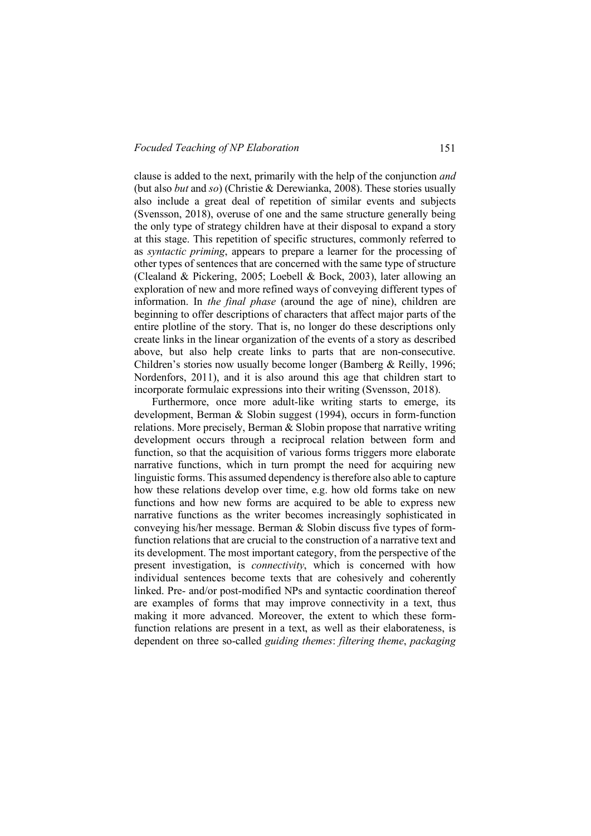clause is added to the next, primarily with the help of the conjunction *and* (but also *but* and *so*) (Christie & Derewianka, 2008). These stories usually also include a great deal of repetition of similar events and subjects (Svensson, 2018), overuse of one and the same structure generally being the only type of strategy children have at their disposal to expand a story at this stage. This repetition of specific structures, commonly referred to as *syntactic priming*, appears to prepare a learner for the processing of other types of sentences that are concerned with the same type of structure (Clealand & Pickering, 2005; Loebell & Bock, 2003), later allowing an exploration of new and more refined ways of conveying different types of information. In *the final phase* (around the age of nine), children are beginning to offer descriptions of characters that affect major parts of the entire plotline of the story. That is, no longer do these descriptions only create links in the linear organization of the events of a story as described above, but also help create links to parts that are non-consecutive. Children's stories now usually become longer (Bamberg & Reilly, 1996; Nordenfors, 2011), and it is also around this age that children start to incorporate formulaic expressions into their writing (Svensson, 2018).

Furthermore, once more adult-like writing starts to emerge, its development, Berman & Slobin suggest (1994), occurs in form-function relations. More precisely, Berman  $&$  Slobin propose that narrative writing development occurs through a reciprocal relation between form and function, so that the acquisition of various forms triggers more elaborate narrative functions, which in turn prompt the need for acquiring new linguistic forms. This assumed dependency is therefore also able to capture how these relations develop over time, e.g. how old forms take on new functions and how new forms are acquired to be able to express new narrative functions as the writer becomes increasingly sophisticated in conveying his/her message. Berman & Slobin discuss five types of formfunction relations that are crucial to the construction of a narrative text and its development. The most important category, from the perspective of the present investigation, is *connectivity*, which is concerned with how individual sentences become texts that are cohesively and coherently linked. Pre- and/or post-modified NPs and syntactic coordination thereof are examples of forms that may improve connectivity in a text, thus making it more advanced. Moreover, the extent to which these formfunction relations are present in a text, as well as their elaborateness, is dependent on three so-called *guiding themes*: *filtering theme*, *packaging*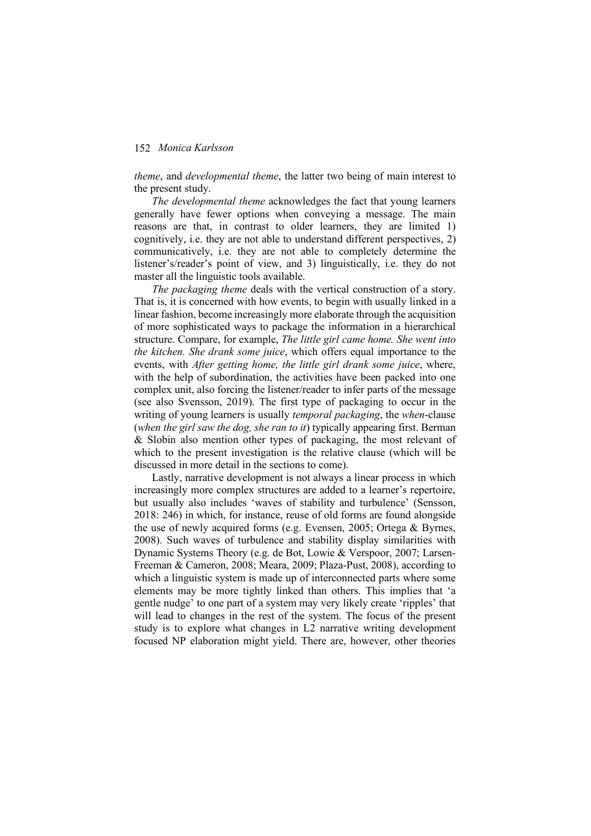*theme*, and *developmental theme*, the latter two being of main interest to the present study.

*The developmental theme* acknowledges the fact that young learners generally have fewer options when conveying a message. The main reasons are that, in contrast to older learners, they are limited 1) cognitively, i.e. they are not able to understand different perspectives, 2) communicatively, i.e. they are not able to completely determine the listener's/reader's point of view, and 3) linguistically, i.e. they do not master all the linguistic tools available.

*The packaging theme* deals with the vertical construction of a story. That is, it is concerned with how events, to begin with usually linked in a linear fashion, become increasingly more elaborate through the acquisition of more sophisticated ways to package the information in a hierarchical structure. Compare, for example, *The little girl came home. She went into the kitchen. She drank some juice*, which offers equal importance to the events, with *After getting home, the little girl drank some juice*, where, with the help of subordination, the activities have been packed into one complex unit, also forcing the listener/reader to infer parts of the message (see also Svensson, 2019). The first type of packaging to occur in the writing of young learners is usually *temporal packaging*, the *when*-clause (*when the girl saw the dog, she ran to it*) typically appearing first. Berman & Slobin also mention other types of packaging, the most relevant of which to the present investigation is the relative clause (which will be discussed in more detail in the sections to come).

Lastly, narrative development is not always a linear process in which increasingly more complex structures are added to a learner's repertoire, but usually also includes 'waves of stability and turbulence' (Sensson, 2018: 246) in which, for instance, reuse of old forms are found alongside the use of newly acquired forms (e.g. Evensen, 2005; Ortega & Byrnes, 2008). Such waves of turbulence and stability display similarities with Dynamic Systems Theory (e.g. de Bot, Lowie & Verspoor, 2007; Larsen-Freeman & Cameron, 2008; Meara, 2009; Plaza-Pust, 2008), according to which a linguistic system is made up of interconnected parts where some elements may be more tightly linked than others. This implies that 'a gentle nudge' to one part of a system may very likely create 'ripples' that will lead to changes in the rest of the system. The focus of the present study is to explore what changes in L2 narrative writing development focused NP elaboration might yield. There are, however, other theories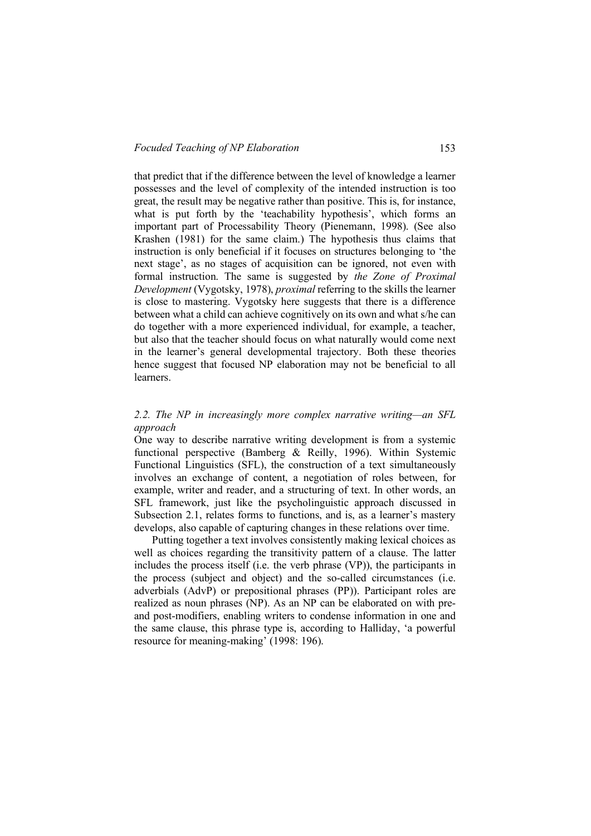that predict that if the difference between the level of knowledge a learner possesses and the level of complexity of the intended instruction is too great, the result may be negative rather than positive. This is, for instance, what is put forth by the 'teachability hypothesis', which forms an important part of Processability Theory (Pienemann, 1998). (See also Krashen (1981) for the same claim.) The hypothesis thus claims that instruction is only beneficial if it focuses on structures belonging to 'the next stage', as no stages of acquisition can be ignored, not even with formal instruction. The same is suggested by *the Zone of Proximal Development* (Vygotsky, 1978), *proximal* referring to the skills the learner is close to mastering. Vygotsky here suggests that there is a difference between what a child can achieve cognitively on its own and what s/he can do together with a more experienced individual, for example, a teacher, but also that the teacher should focus on what naturally would come next in the learner's general developmental trajectory. Both these theories hence suggest that focused NP elaboration may not be beneficial to all learners.

### *2.2. The NP in increasingly more complex narrative writing—an SFL approach*

One way to describe narrative writing development is from a systemic functional perspective (Bamberg & Reilly, 1996). Within Systemic Functional Linguistics (SFL), the construction of a text simultaneously involves an exchange of content, a negotiation of roles between, for example, writer and reader, and a structuring of text. In other words, an SFL framework, just like the psycholinguistic approach discussed in Subsection 2.1, relates forms to functions, and is, as a learner's mastery develops, also capable of capturing changes in these relations over time.

Putting together a text involves consistently making lexical choices as well as choices regarding the transitivity pattern of a clause. The latter includes the process itself (i.e. the verb phrase (VP)), the participants in the process (subject and object) and the so-called circumstances (i.e. adverbials (AdvP) or prepositional phrases (PP)). Participant roles are realized as noun phrases (NP). As an NP can be elaborated on with preand post-modifiers, enabling writers to condense information in one and the same clause, this phrase type is, according to Halliday, 'a powerful resource for meaning-making' (1998: 196).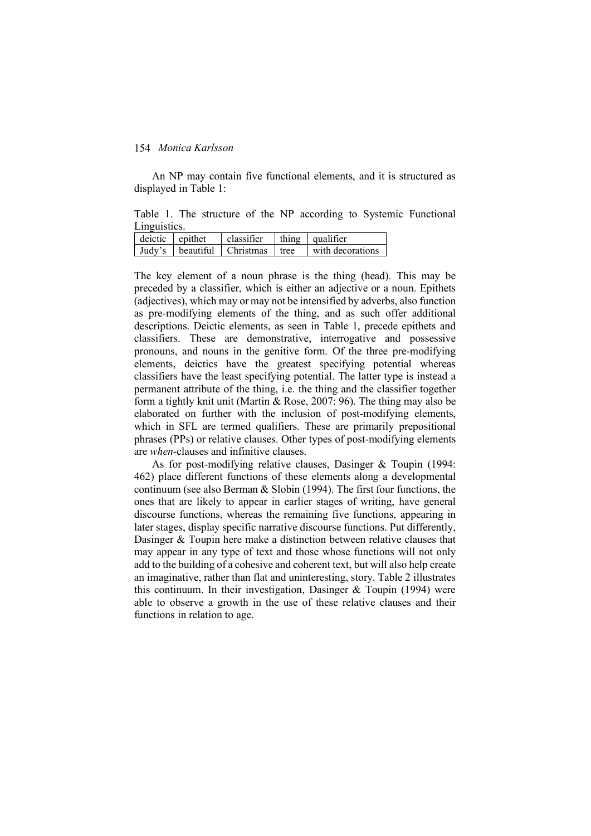An NP may contain five functional elements, and it is structured as displayed in Table 1:

Table 1. The structure of the NP according to Systemic Functional Linguistics.

| deictic epithet | classifier                            | thing qualifier  |
|-----------------|---------------------------------------|------------------|
|                 | Judy's   beautiful   Christmas   tree | with decorations |

The key element of a noun phrase is the thing (head). This may be preceded by a classifier, which is either an adjective or a noun. Epithets (adjectives), which may or may not be intensified by adverbs, also function as pre-modifying elements of the thing, and as such offer additional descriptions. Deictic elements, as seen in Table 1, precede epithets and classifiers. These are demonstrative, interrogative and possessive pronouns, and nouns in the genitive form. Of the three pre-modifying elements, deictics have the greatest specifying potential whereas classifiers have the least specifying potential. The latter type is instead a permanent attribute of the thing, i.e. the thing and the classifier together form a tightly knit unit (Martin & Rose, 2007: 96). The thing may also be elaborated on further with the inclusion of post-modifying elements, which in SFL are termed qualifiers. These are primarily prepositional phrases (PPs) or relative clauses. Other types of post-modifying elements are *when*-clauses and infinitive clauses.

As for post-modifying relative clauses, Dasinger & Toupin (1994: 462) place different functions of these elements along a developmental continuum (see also Berman & Slobin (1994). The first four functions, the ones that are likely to appear in earlier stages of writing, have general discourse functions, whereas the remaining five functions, appearing in later stages, display specific narrative discourse functions. Put differently, Dasinger & Toupin here make a distinction between relative clauses that may appear in any type of text and those whose functions will not only add to the building of a cohesive and coherent text, but will also help create an imaginative, rather than flat and uninteresting, story. Table 2 illustrates this continuum. In their investigation, Dasinger & Toupin (1994) were able to observe a growth in the use of these relative clauses and their functions in relation to age.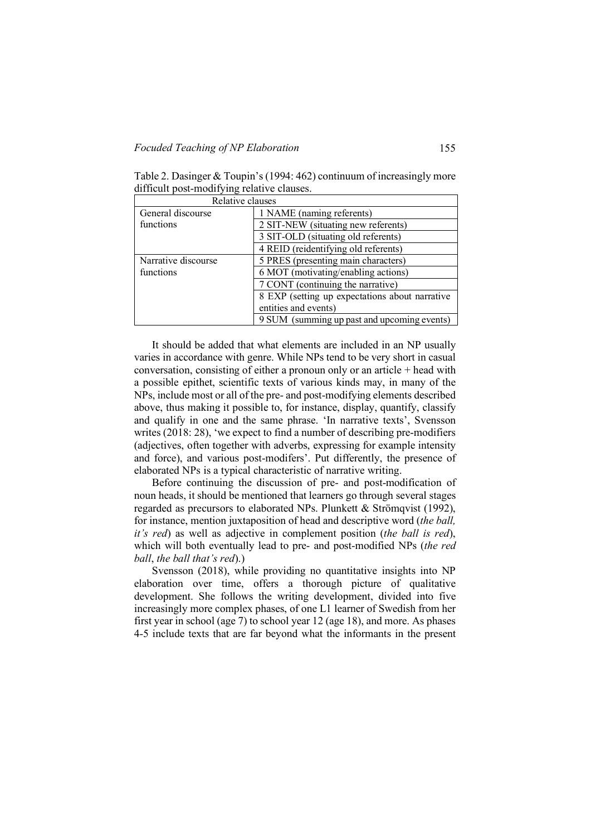Table 2. Dasinger & Toupin's (1994: 462) continuum of increasingly more difficult post-modifying relative clauses.

| Relative clauses    |                                                |  |
|---------------------|------------------------------------------------|--|
| General discourse   | 1 NAME (naming referents)                      |  |
| functions           | 2 SIT-NEW (situating new referents)            |  |
|                     | 3 SIT-OLD (situating old referents)            |  |
|                     | 4 REID (reidentifying old referents)           |  |
| Narrative discourse | 5 PRES (presenting main characters)            |  |
| functions           | 6 MOT (motivating/enabling actions)            |  |
|                     | 7 CONT (continuing the narrative)              |  |
|                     | 8 EXP (setting up expectations about narrative |  |
|                     | entities and events)                           |  |
|                     | 9 SUM (summing up past and upcoming events)    |  |

It should be added that what elements are included in an NP usually varies in accordance with genre. While NPs tend to be very short in casual conversation, consisting of either a pronoun only or an article + head with a possible epithet, scientific texts of various kinds may, in many of the NPs, include most or all of the pre- and post-modifying elements described above, thus making it possible to, for instance, display, quantify, classify and qualify in one and the same phrase. 'In narrative texts', Svensson writes (2018: 28), 'we expect to find a number of describing pre-modifiers (adjectives, often together with adverbs, expressing for example intensity and force), and various post-modifers'. Put differently, the presence of elaborated NPs is a typical characteristic of narrative writing.

Before continuing the discussion of pre- and post-modification of noun heads, it should be mentioned that learners go through several stages regarded as precursors to elaborated NPs. Plunkett & Strömqvist (1992), for instance, mention juxtaposition of head and descriptive word (*the ball, it's red*) as well as adjective in complement position (*the ball is red*), which will both eventually lead to pre- and post-modified NPs (*the red ball*, *the ball that's red*).)

Svensson (2018), while providing no quantitative insights into NP elaboration over time, offers a thorough picture of qualitative development. She follows the writing development, divided into five increasingly more complex phases, of one L1 learner of Swedish from her first year in school (age 7) to school year 12 (age 18), and more. As phases 4-5 include texts that are far beyond what the informants in the present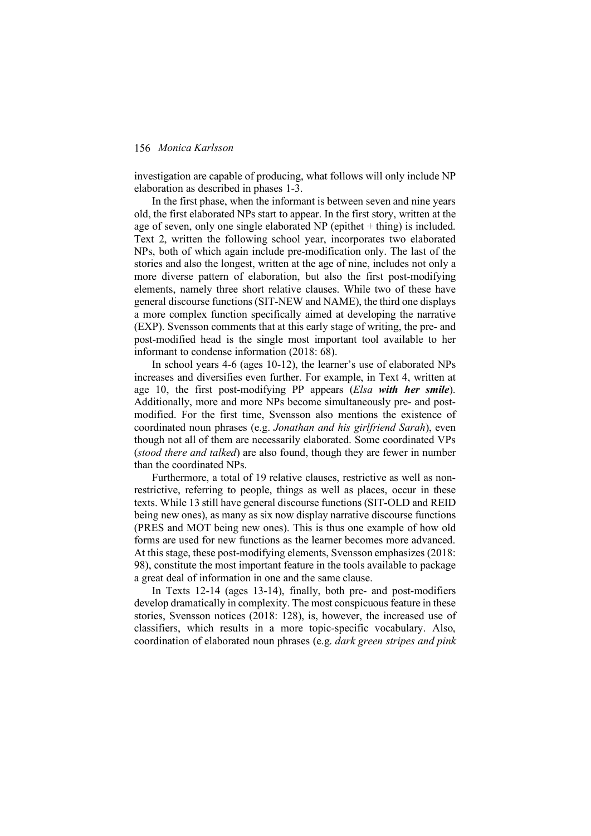investigation are capable of producing, what follows will only include NP elaboration as described in phases 1-3.

In the first phase, when the informant is between seven and nine years old, the first elaborated NPs start to appear. In the first story, written at the age of seven, only one single elaborated NP (epithet  $+$  thing) is included. Text 2, written the following school year, incorporates two elaborated NPs, both of which again include pre-modification only. The last of the stories and also the longest, written at the age of nine, includes not only a more diverse pattern of elaboration, but also the first post-modifying elements, namely three short relative clauses. While two of these have general discourse functions (SIT-NEW and NAME), the third one displays a more complex function specifically aimed at developing the narrative (EXP). Svensson comments that at this early stage of writing, the pre- and post-modified head is the single most important tool available to her informant to condense information (2018: 68).

In school years 4-6 (ages 10-12), the learner's use of elaborated NPs increases and diversifies even further. For example, in Text 4, written at age 10, the first post-modifying PP appears (*Elsa with her smile*). Additionally, more and more NPs become simultaneously pre- and postmodified. For the first time, Svensson also mentions the existence of coordinated noun phrases (e.g. *Jonathan and his girlfriend Sarah*), even though not all of them are necessarily elaborated. Some coordinated VPs (*stood there and talked*) are also found, though they are fewer in number than the coordinated NPs.

Furthermore, a total of 19 relative clauses, restrictive as well as nonrestrictive, referring to people, things as well as places, occur in these texts. While 13 still have general discourse functions (SIT-OLD and REID being new ones), as many as six now display narrative discourse functions (PRES and MOT being new ones). This is thus one example of how old forms are used for new functions as the learner becomes more advanced. At this stage, these post-modifying elements, Svensson emphasizes (2018: 98), constitute the most important feature in the tools available to package a great deal of information in one and the same clause.

In Texts 12-14 (ages 13-14), finally, both pre- and post-modifiers develop dramatically in complexity. The most conspicuous feature in these stories, Svensson notices (2018: 128), is, however, the increased use of classifiers, which results in a more topic-specific vocabulary. Also, coordination of elaborated noun phrases (e.g. *dark green stripes and pink*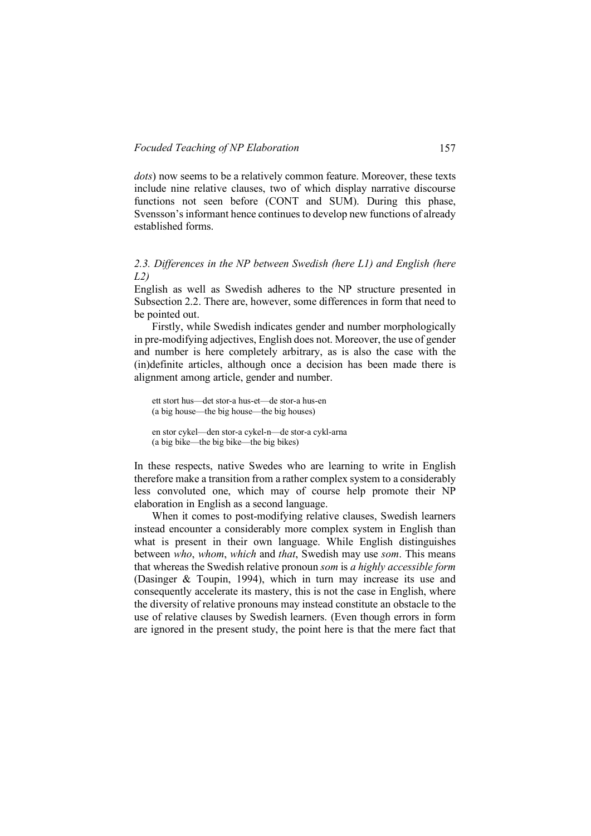*dots*) now seems to be a relatively common feature. Moreover, these texts include nine relative clauses, two of which display narrative discourse functions not seen before (CONT and SUM). During this phase, Svensson's informant hence continues to develop new functions of already established forms.

*2.3. Differences in the NP between Swedish (here L1) and English (here L2)*

English as well as Swedish adheres to the NP structure presented in Subsection 2.2. There are, however, some differences in form that need to be pointed out.

Firstly, while Swedish indicates gender and number morphologically in pre-modifying adjectives, English does not. Moreover, the use of gender and number is here completely arbitrary, as is also the case with the (in)definite articles, although once a decision has been made there is alignment among article, gender and number.

ett stort hus—det stor-a hus-et—de stor-a hus-en (a big house—the big house—the big houses)

en stor cykel—den stor-a cykel-n—de stor-a cykl-arna (a big bike—the big bike—the big bikes)

In these respects, native Swedes who are learning to write in English therefore make a transition from a rather complex system to a considerably less convoluted one, which may of course help promote their NP elaboration in English as a second language.

When it comes to post-modifying relative clauses, Swedish learners instead encounter a considerably more complex system in English than what is present in their own language. While English distinguishes between *who*, *whom*, *which* and *that*, Swedish may use *som*. This means that whereas the Swedish relative pronoun *som* is *a highly accessible form* (Dasinger & Toupin, 1994), which in turn may increase its use and consequently accelerate its mastery, this is not the case in English, where the diversity of relative pronouns may instead constitute an obstacle to the use of relative clauses by Swedish learners. (Even though errors in form are ignored in the present study, the point here is that the mere fact that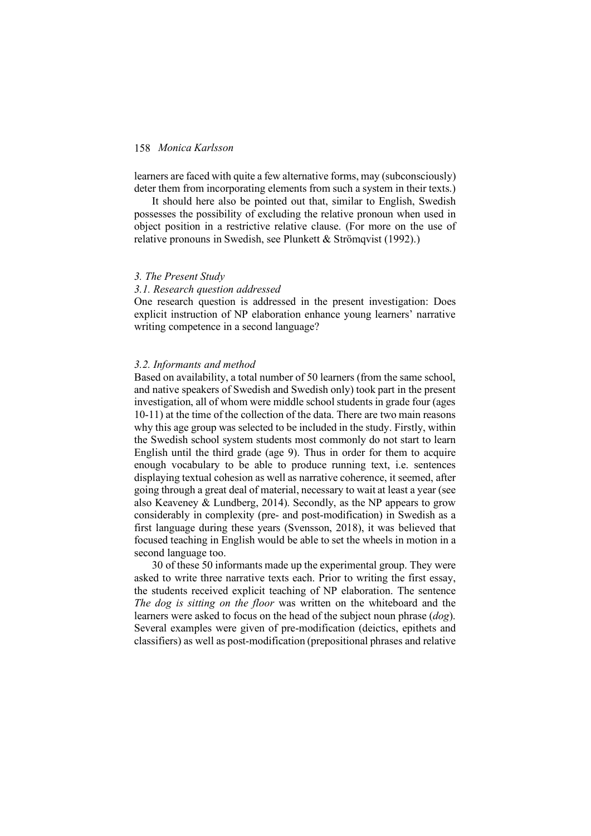learners are faced with quite a few alternative forms, may (subconsciously) deter them from incorporating elements from such a system in their texts.)

It should here also be pointed out that, similar to English, Swedish possesses the possibility of excluding the relative pronoun when used in object position in a restrictive relative clause. (For more on the use of relative pronouns in Swedish, see Plunkett & Strömqvist (1992).)

#### *3. The Present Study*

#### *3.1. Research question addressed*

One research question is addressed in the present investigation: Does explicit instruction of NP elaboration enhance young learners' narrative writing competence in a second language?

#### *3.2. Informants and method*

Based on availability, a total number of 50 learners (from the same school, and native speakers of Swedish and Swedish only) took part in the present investigation, all of whom were middle school students in grade four (ages 10-11) at the time of the collection of the data. There are two main reasons why this age group was selected to be included in the study. Firstly, within the Swedish school system students most commonly do not start to learn English until the third grade (age 9). Thus in order for them to acquire enough vocabulary to be able to produce running text, i.e. sentences displaying textual cohesion as well as narrative coherence, it seemed, after going through a great deal of material, necessary to wait at least a year (see also Keaveney & Lundberg, 2014). Secondly, as the NP appears to grow considerably in complexity (pre- and post-modification) in Swedish as a first language during these years (Svensson, 2018), it was believed that focused teaching in English would be able to set the wheels in motion in a second language too.

30 of these 50 informants made up the experimental group. They were asked to write three narrative texts each. Prior to writing the first essay, the students received explicit teaching of NP elaboration. The sentence *The dog is sitting on the floor* was written on the whiteboard and the learners were asked to focus on the head of the subject noun phrase (*dog*). Several examples were given of pre-modification (deictics, epithets and classifiers) as well as post-modification (prepositional phrases and relative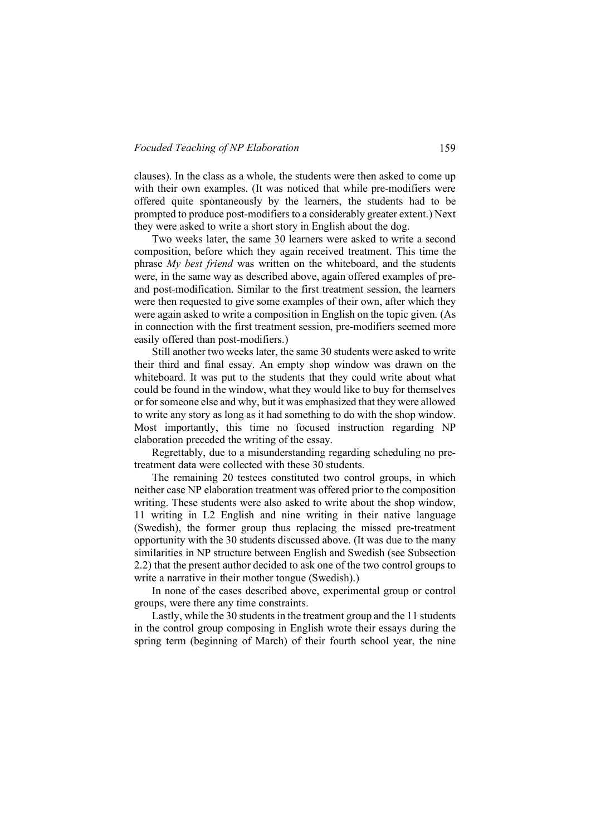clauses). In the class as a whole, the students were then asked to come up with their own examples. (It was noticed that while pre-modifiers were offered quite spontaneously by the learners, the students had to be prompted to produce post-modifiers to a considerably greater extent.) Next they were asked to write a short story in English about the dog.

Two weeks later, the same 30 learners were asked to write a second composition, before which they again received treatment. This time the phrase *My best friend* was written on the whiteboard, and the students were, in the same way as described above, again offered examples of preand post-modification. Similar to the first treatment session, the learners were then requested to give some examples of their own, after which they were again asked to write a composition in English on the topic given. (As in connection with the first treatment session, pre-modifiers seemed more easily offered than post-modifiers.)

Still another two weeks later, the same 30 students were asked to write their third and final essay. An empty shop window was drawn on the whiteboard. It was put to the students that they could write about what could be found in the window, what they would like to buy for themselves or for someone else and why, but it was emphasized that they were allowed to write any story as long as it had something to do with the shop window. Most importantly, this time no focused instruction regarding NP elaboration preceded the writing of the essay.

Regrettably, due to a misunderstanding regarding scheduling no pretreatment data were collected with these 30 students.

The remaining 20 testees constituted two control groups, in which neither case NP elaboration treatment was offered prior to the composition writing. These students were also asked to write about the shop window, 11 writing in L2 English and nine writing in their native language (Swedish), the former group thus replacing the missed pre-treatment opportunity with the 30 students discussed above. (It was due to the many similarities in NP structure between English and Swedish (see Subsection 2.2) that the present author decided to ask one of the two control groups to write a narrative in their mother tongue (Swedish).)

In none of the cases described above, experimental group or control groups, were there any time constraints.

Lastly, while the 30 students in the treatment group and the 11 students in the control group composing in English wrote their essays during the spring term (beginning of March) of their fourth school year, the nine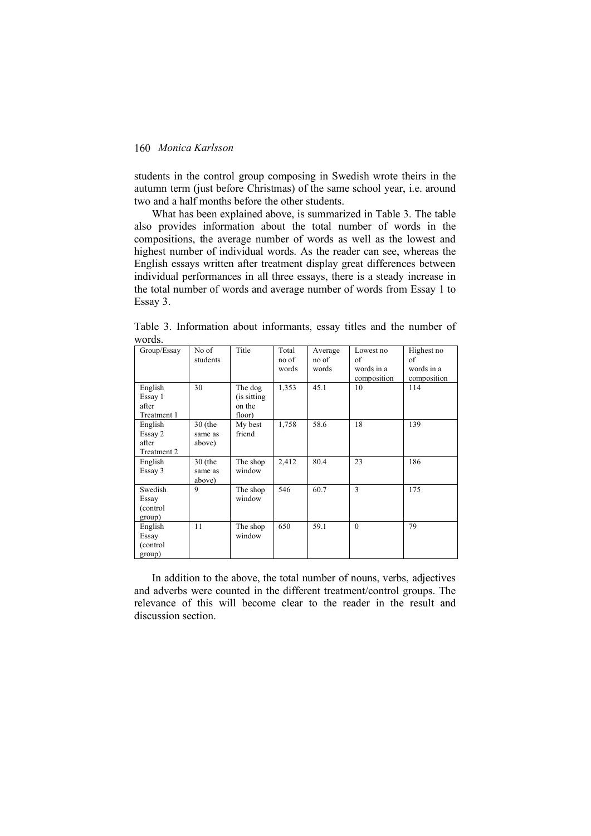students in the control group composing in Swedish wrote theirs in the autumn term (just before Christmas) of the same school year, i.e. around two and a half months before the other students.

What has been explained above, is summarized in Table 3. The table also provides information about the total number of words in the compositions, the average number of words as well as the lowest and highest number of individual words. As the reader can see, whereas the English essays written after treatment display great differences between individual performances in all three essays, there is a steady increase in the total number of words and average number of words from Essay 1 to Essay 3.

| Group/Essay | No of     | Title        | Total | Average | Lowest no   | Highest no  |
|-------------|-----------|--------------|-------|---------|-------------|-------------|
|             | students  |              | no of | no of   | of          | of          |
|             |           |              | words | words   | words in a  | words in a  |
|             |           |              |       |         | composition | composition |
| English     | 30        | The dog      | 1,353 | 45.1    | 10          | 114         |
| Essay 1     |           | (is sitting) |       |         |             |             |
| after       |           | on the       |       |         |             |             |
| Treatment 1 |           | floor)       |       |         |             |             |
| English     | $30$ (the | My best      | 1,758 | 58.6    | 18          | 139         |
| Essay 2     | same as   | friend       |       |         |             |             |
| after       | above)    |              |       |         |             |             |
| Treatment 2 |           |              |       |         |             |             |
| English     | $30$ (the | The shop     | 2,412 | 80.4    | 23          | 186         |
| Essay 3     | same as   | window       |       |         |             |             |
|             | above)    |              |       |         |             |             |
| Swedish     | 9         | The shop     | 546   | 60.7    | 3           | 175         |
| Essay       |           | window       |       |         |             |             |
| (control)   |           |              |       |         |             |             |
| group)      |           |              |       |         |             |             |
| English     | 11        | The shop     | 650   | 59.1    | $\theta$    | 79          |
| Essay       |           | window       |       |         |             |             |
| (control    |           |              |       |         |             |             |
| group)      |           |              |       |         |             |             |

Table 3. Information about informants, essay titles and the number of words.

In addition to the above, the total number of nouns, verbs, adjectives and adverbs were counted in the different treatment/control groups. The relevance of this will become clear to the reader in the result and discussion section.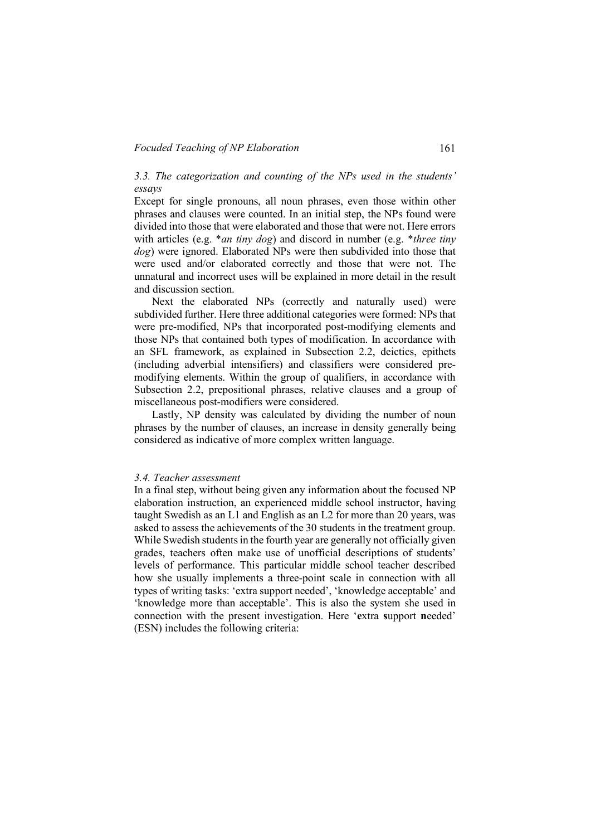#### *Focuded Teaching of NP Elaboration* 161

## *3.3. The categorization and counting of the NPs used in the students' essays*

Except for single pronouns, all noun phrases, even those within other phrases and clauses were counted. In an initial step, the NPs found were divided into those that were elaborated and those that were not. Here errors with articles (e.g. \**an tiny dog*) and discord in number (e.g. \**three tiny dog*) were ignored. Elaborated NPs were then subdivided into those that were used and/or elaborated correctly and those that were not. The unnatural and incorrect uses will be explained in more detail in the result and discussion section.

Next the elaborated NPs (correctly and naturally used) were subdivided further. Here three additional categories were formed: NPs that were pre-modified, NPs that incorporated post-modifying elements and those NPs that contained both types of modification. In accordance with an SFL framework, as explained in Subsection 2.2, deictics, epithets (including adverbial intensifiers) and classifiers were considered premodifying elements. Within the group of qualifiers, in accordance with Subsection 2.2, prepositional phrases, relative clauses and a group of miscellaneous post-modifiers were considered.

Lastly, NP density was calculated by dividing the number of noun phrases by the number of clauses, an increase in density generally being considered as indicative of more complex written language.

#### *3.4. Teacher assessment*

In a final step, without being given any information about the focused NP elaboration instruction, an experienced middle school instructor, having taught Swedish as an L1 and English as an L2 for more than 20 years, was asked to assess the achievements of the 30 students in the treatment group. While Swedish students in the fourth year are generally not officially given grades, teachers often make use of unofficial descriptions of students' levels of performance. This particular middle school teacher described how she usually implements a three-point scale in connection with all types of writing tasks: 'extra support needed', 'knowledge acceptable' and 'knowledge more than acceptable'. This is also the system she used in connection with the present investigation. Here '**e**xtra **s**upport **n**eeded' (ESN) includes the following criteria: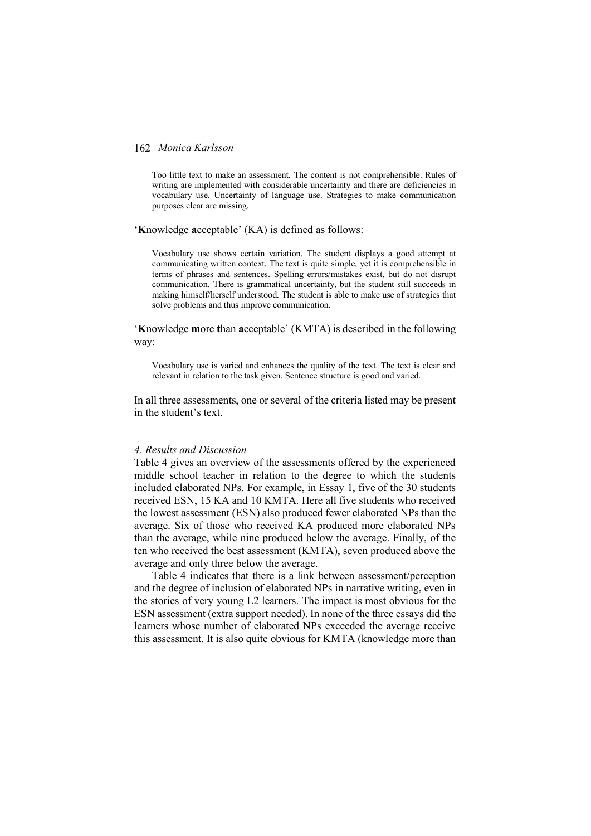Too little text to make an assessment. The content is not comprehensible. Rules of writing are implemented with considerable uncertainty and there are deficiencies in vocabulary use. Uncertainty of language use. Strategies to make communication purposes clear are missing.

#### '**K**nowledge **a**cceptable' (KA) is defined as follows:

Vocabulary use shows certain variation. The student displays a good attempt at communicating written context. The text is quite simple, yet it is comprehensible in terms of phrases and sentences. Spelling errors/mistakes exist, but do not disrupt communication. There is grammatical uncertainty, but the student still succeeds in making himself/herself understood. The student is able to make use of strategies that solve problems and thus improve communication.

'**K**nowledge **m**ore **t**han **a**cceptable' (KMTA) is described in the following way:

Vocabulary use is varied and enhances the quality of the text. The text is clear and relevant in relation to the task given. Sentence structure is good and varied.

In all three assessments, one or several of the criteria listed may be present in the student's text.

### *4. Results and Discussion*

Table 4 gives an overview of the assessments offered by the experienced middle school teacher in relation to the degree to which the students included elaborated NPs. For example, in Essay 1, five of the 30 students received ESN, 15 KA and 10 KMTA. Here all five students who received the lowest assessment (ESN) also produced fewer elaborated NPs than the average. Six of those who received KA produced more elaborated NPs than the average, while nine produced below the average. Finally, of the ten who received the best assessment (KMTA), seven produced above the average and only three below the average.

Table 4 indicates that there is a link between assessment/perception and the degree of inclusion of elaborated NPs in narrative writing, even in the stories of very young L2 learners. The impact is most obvious for the ESN assessment (extra support needed). In none of the three essays did the learners whose number of elaborated NPs exceeded the average receive this assessment. It is also quite obvious for KMTA (knowledge more than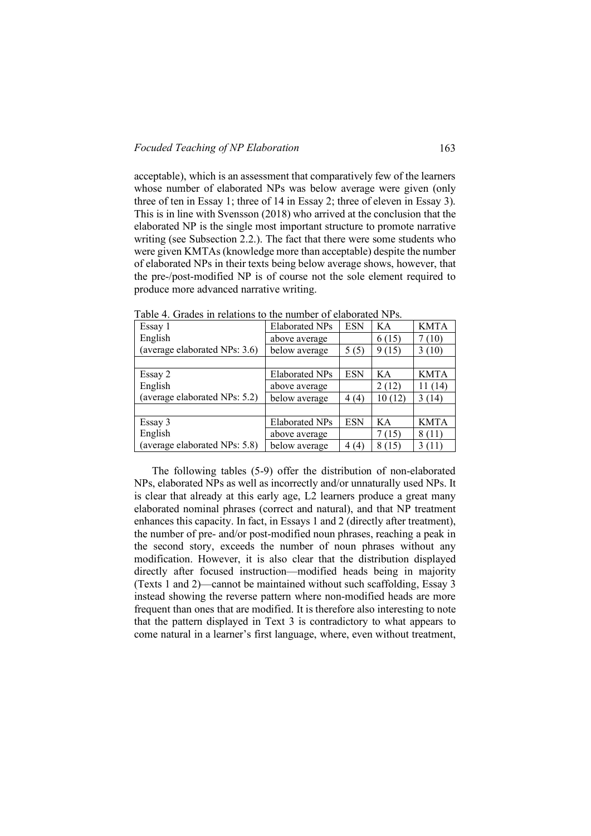acceptable), which is an assessment that comparatively few of the learners whose number of elaborated NPs was below average were given (only three of ten in Essay 1; three of 14 in Essay 2; three of eleven in Essay 3). This is in line with Svensson (2018) who arrived at the conclusion that the elaborated NP is the single most important structure to promote narrative writing (see Subsection 2.2.). The fact that there were some students who were given KMTAs (knowledge more than acceptable) despite the number of elaborated NPs in their texts being below average shows, however, that the pre-/post-modified NP is of course not the sole element required to produce more advanced narrative writing.

| Essay 1                       | Elaborated NPs | <b>ESN</b> | KA        | <b>KMTA</b> |
|-------------------------------|----------------|------------|-----------|-------------|
| English                       | above average  |            | 6(15)     | 7 (10)      |
| (average elaborated NPs: 3.6) | below average  | 5(5)       | 9(15)     | 3(10)       |
|                               |                |            |           |             |
| Essay 2                       | Elaborated NPs | <b>ESN</b> | KA        | <b>KMTA</b> |
| English                       | above average  |            | 2(12)     | 11(14)      |
| (average elaborated NPs: 5.2) | below average  | 4(4)       | 10(12)    | 3(14)       |
|                               |                |            |           |             |
| Essay 3                       | Elaborated NPs | <b>ESN</b> | KA        | <b>KMTA</b> |
| English                       | above average  |            | 7 (15)    | 8(11)       |
| (average elaborated NPs: 5.8) | below average  | 4(4)       | (15)<br>8 | 3(11)       |

Table 4. Grades in relations to the number of elaborated NPs.

The following tables (5-9) offer the distribution of non-elaborated NPs, elaborated NPs as well as incorrectly and/or unnaturally used NPs. It is clear that already at this early age, L2 learners produce a great many elaborated nominal phrases (correct and natural), and that NP treatment enhances this capacity. In fact, in Essays 1 and 2 (directly after treatment), the number of pre- and/or post-modified noun phrases, reaching a peak in the second story, exceeds the number of noun phrases without any modification. However, it is also clear that the distribution displayed directly after focused instruction—modified heads being in majority (Texts 1 and 2)—cannot be maintained without such scaffolding, Essay 3 instead showing the reverse pattern where non-modified heads are more frequent than ones that are modified. It is therefore also interesting to note that the pattern displayed in Text 3 is contradictory to what appears to come natural in a learner's first language, where, even without treatment,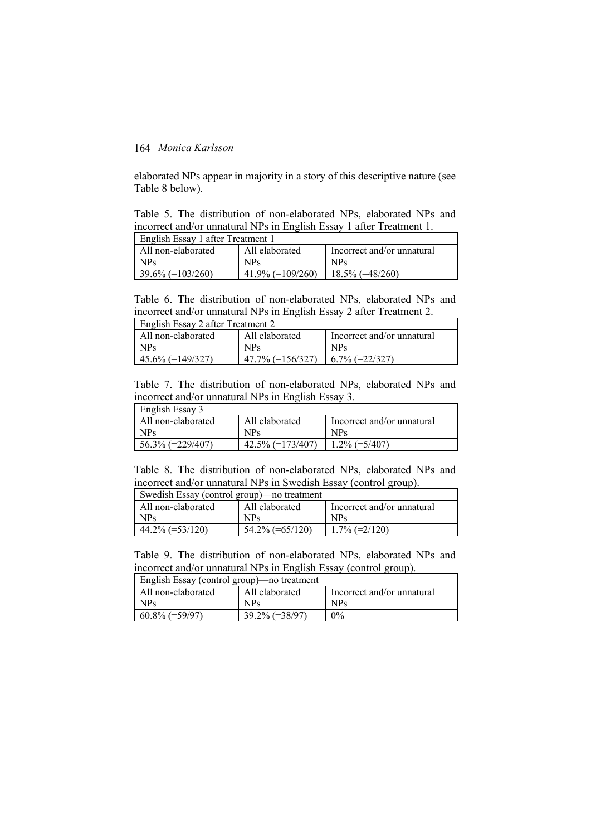elaborated NPs appear in majority in a story of this descriptive nature (see Table 8 below).

Table 5. The distribution of non-elaborated NPs, elaborated NPs and incorrect and/or unnatural NPs in English Essay 1 after Treatment 1.

| English Essay 1 after Treatment 1 |                     |                            |  |  |
|-----------------------------------|---------------------|----------------------------|--|--|
| All non-elaborated                | All elaborated      | Incorrect and/or unnatural |  |  |
| <b>NPs</b>                        | <b>NPs</b>          | <b>NPs</b>                 |  |  |
| $39.6\%$ (=103/260)               | $41.9\%$ (=109/260) | $18.5\%$ (=48/260)         |  |  |

Table 6. The distribution of non-elaborated NPs, elaborated NPs and incorrect and/or unnatural NPs in English Essay 2 after Treatment 2.

| English Essay 2 after Treatment 2 |                     |                            |  |  |
|-----------------------------------|---------------------|----------------------------|--|--|
| All non-elaborated                | All elaborated      | Incorrect and/or unnatural |  |  |
| NP <sub>S</sub>                   | <b>NPs</b>          | <b>NPs</b>                 |  |  |
| $45.6\%$ (=149/327)               | $47.7\%$ (=156/327) | $6.7\%$ (=22/327)          |  |  |

Table 7. The distribution of non-elaborated NPs, elaborated NPs and incorrect and/or unnatural NPs in English Essay 3.

| English Essay 3     |                     |                            |
|---------------------|---------------------|----------------------------|
| All non-elaborated  | All elaborated      | Incorrect and/or unnatural |
| NP <sub>S</sub>     | <b>NPs</b>          | NP <sub>S</sub>            |
| $56.3\%$ (=229/407) | $42.5\%$ (=173/407) | $1.2\%$ (=5/407)           |

Table 8. The distribution of non-elaborated NPs, elaborated NPs and incorrect and/or unnatural NPs in Swedish Essay (control group).

| Swedish Essay (control group) no treatment |                    |                            |  |  |
|--------------------------------------------|--------------------|----------------------------|--|--|
| All non-elaborated                         | All elaborated     | Incorrect and/or unnatural |  |  |
| NPs.                                       | <b>NPs</b>         | NP <sub>S</sub>            |  |  |
| $44.2\%$ (=53/120)                         | $54.2\%$ (=65/120) | $1.7\%$ (=2/120)           |  |  |

Table 9. The distribution of non-elaborated NPs, elaborated NPs and incorrect and/or unnatural NPs in English Essay (control group).

| English Essay (control group) no treatment |                   |                            |  |  |
|--------------------------------------------|-------------------|----------------------------|--|--|
| All non-elaborated                         | All elaborated    | Incorrect and/or unnatural |  |  |
| NP <sub>S</sub>                            | <b>NPs</b>        | <b>NPs</b>                 |  |  |
| $60.8\%$ (=59/97)                          | $39.2\%$ (=38/97) | $0\%$                      |  |  |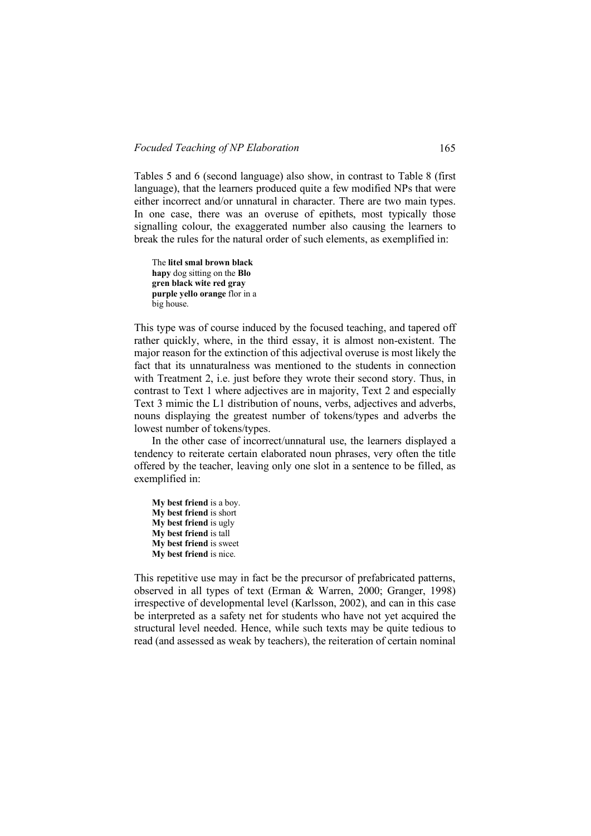Tables 5 and 6 (second language) also show, in contrast to Table 8 (first language), that the learners produced quite a few modified NPs that were either incorrect and/or unnatural in character. There are two main types. In one case, there was an overuse of epithets, most typically those signalling colour, the exaggerated number also causing the learners to break the rules for the natural order of such elements, as exemplified in:

The **litel smal brown black hapy** dog sitting on the **Blo gren black wite red gray purple yello orange** flor in a big house.

This type was of course induced by the focused teaching, and tapered off rather quickly, where, in the third essay, it is almost non-existent. The major reason for the extinction of this adjectival overuse is most likely the fact that its unnaturalness was mentioned to the students in connection with Treatment 2, i.e. just before they wrote their second story. Thus, in contrast to Text 1 where adjectives are in majority, Text 2 and especially Text 3 mimic the L1 distribution of nouns, verbs, adjectives and adverbs, nouns displaying the greatest number of tokens/types and adverbs the lowest number of tokens/types.

In the other case of incorrect/unnatural use, the learners displayed a tendency to reiterate certain elaborated noun phrases, very often the title offered by the teacher, leaving only one slot in a sentence to be filled, as exemplified in:

**My best friend** is a boy. **My best friend** is short **My best friend** is ugly **My best friend** is tall **My best friend** is sweet **My best friend** is nice.

This repetitive use may in fact be the precursor of prefabricated patterns, observed in all types of text (Erman & Warren, 2000; Granger, 1998) irrespective of developmental level (Karlsson, 2002), and can in this case be interpreted as a safety net for students who have not yet acquired the structural level needed. Hence, while such texts may be quite tedious to read (and assessed as weak by teachers), the reiteration of certain nominal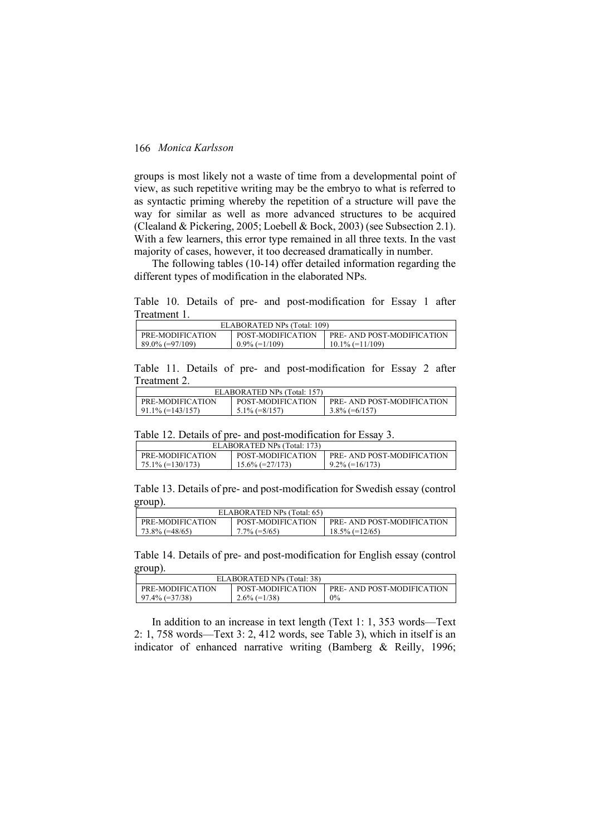groups is most likely not a waste of time from a developmental point of view, as such repetitive writing may be the embryo to what is referred to as syntactic priming whereby the repetition of a structure will pave the way for similar as well as more advanced structures to be acquired (Clealand & Pickering, 2005; Loebell & Bock, 2003) (see Subsection 2.1). With a few learners, this error type remained in all three texts. In the vast majority of cases, however, it too decreased dramatically in number.

The following tables (10-14) offer detailed information regarding the different types of modification in the elaborated NPs.

Table 10. Details of pre- and post-modification for Essay 1 after Treatment 1.

| ELABORATED NPs (Total: 109) |                   |                            |  |  |
|-----------------------------|-------------------|----------------------------|--|--|
| PRE-MODIFICATION            | POST-MODIFICATION | PRE- AND POST-MODIFICATION |  |  |
| $89.0\%$ (=97/109)          | $0.9\%$ (=1/109)  | $10.1\%$ (=11/109)         |  |  |

Table 11. Details of pre- and post-modification for Essay 2 after Treatment 2.

| ELABORATED NPs (Total: 157) |                   |                            |  |  |
|-----------------------------|-------------------|----------------------------|--|--|
| PRE-MODIFICATION            | POST-MODIFICATION | PRE- AND POST-MODIFICATION |  |  |
| $91.1\%$ (=143/157)         | $5.1\%$ (=8/157)  | $3.8\%$ (=6/157)           |  |  |

Table 12. Details of pre- and post-modification for Essay 3.

| ELABORATED NPs (Total: 173) |                    |                            |  |  |
|-----------------------------|--------------------|----------------------------|--|--|
| <b>PRE-MODIFICATION</b>     | POST-MODIFICATION  | PRE- AND POST-MODIFICATION |  |  |
| $75.1\%$ (=130/173)         | $15.6\%$ (=27/173) | $9.2\%$ (=16/173)          |  |  |

Table 13. Details of pre- and post-modification for Swedish essay (control group).

| ELABORATED NPs (Total: 65) |                   |                            |  |  |
|----------------------------|-------------------|----------------------------|--|--|
| PRE-MODIFICATION           | POST-MODIFICATION | PRE- AND POST-MODIFICATION |  |  |
| $73.8\%$ (=48/65)          | $7.7\%$ (=5/65)   | $18.5\%$ (=12/65)          |  |  |

Table 14. Details of pre- and post-modification for English essay (control group).

| ELABORATED NPs (Total: 38) |                   |                            |  |  |
|----------------------------|-------------------|----------------------------|--|--|
| PRE-MODIFICATION           | POST-MODIFICATION | PRE- AND POST-MODIFICATION |  |  |
| $97.4\%$ (=37/38)          | $2.6\%$ (=1/38)   | $0\%$                      |  |  |

In addition to an increase in text length (Text 1: 1, 353 words—Text 2: 1, 758 words—Text 3: 2, 412 words, see Table 3), which in itself is an indicator of enhanced narrative writing (Bamberg & Reilly, 1996;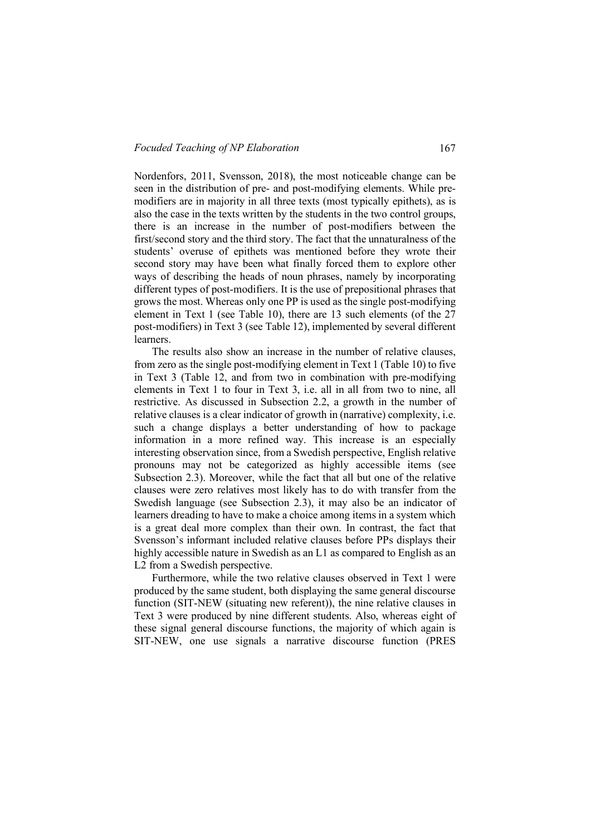Nordenfors, 2011, Svensson, 2018), the most noticeable change can be seen in the distribution of pre- and post-modifying elements. While premodifiers are in majority in all three texts (most typically epithets), as is also the case in the texts written by the students in the two control groups, there is an increase in the number of post-modifiers between the first/second story and the third story. The fact that the unnaturalness of the students' overuse of epithets was mentioned before they wrote their second story may have been what finally forced them to explore other ways of describing the heads of noun phrases, namely by incorporating different types of post-modifiers. It is the use of prepositional phrases that grows the most. Whereas only one PP is used as the single post-modifying element in Text 1 (see Table 10), there are 13 such elements (of the 27 post-modifiers) in Text 3 (see Table 12), implemented by several different learners.

The results also show an increase in the number of relative clauses, from zero as the single post-modifying element in Text 1 (Table 10) to five in Text 3 (Table 12, and from two in combination with pre-modifying elements in Text 1 to four in Text 3, i.e. all in all from two to nine, all restrictive. As discussed in Subsection 2.2, a growth in the number of relative clauses is a clear indicator of growth in (narrative) complexity, i.e. such a change displays a better understanding of how to package information in a more refined way. This increase is an especially interesting observation since, from a Swedish perspective, English relative pronouns may not be categorized as highly accessible items (see Subsection 2.3). Moreover, while the fact that all but one of the relative clauses were zero relatives most likely has to do with transfer from the Swedish language (see Subsection 2.3), it may also be an indicator of learners dreading to have to make a choice among items in a system which is a great deal more complex than their own. In contrast, the fact that Svensson's informant included relative clauses before PPs displays their highly accessible nature in Swedish as an L1 as compared to English as an L2 from a Swedish perspective.

Furthermore, while the two relative clauses observed in Text 1 were produced by the same student, both displaying the same general discourse function (SIT-NEW (situating new referent)), the nine relative clauses in Text 3 were produced by nine different students. Also, whereas eight of these signal general discourse functions, the majority of which again is SIT-NEW, one use signals a narrative discourse function (PRES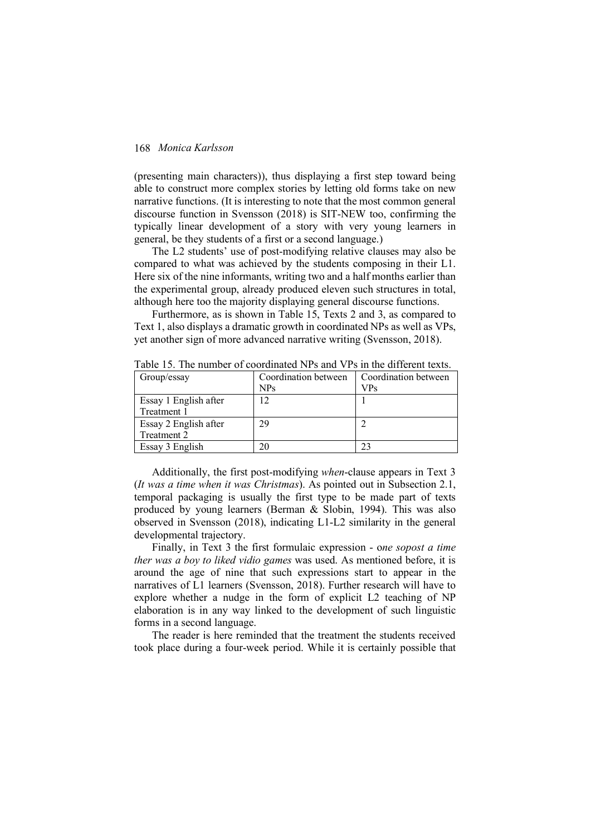(presenting main characters)), thus displaying a first step toward being able to construct more complex stories by letting old forms take on new narrative functions. (It is interesting to note that the most common general discourse function in Svensson (2018) is SIT-NEW too, confirming the typically linear development of a story with very young learners in general, be they students of a first or a second language.)

The L2 students' use of post-modifying relative clauses may also be compared to what was achieved by the students composing in their L1. Here six of the nine informants, writing two and a half months earlier than the experimental group, already produced eleven such structures in total, although here too the majority displaying general discourse functions.

Furthermore, as is shown in Table 15, Texts 2 and 3, as compared to Text 1, also displays a dramatic growth in coordinated NPs as well as VPs, yet another sign of more advanced narrative writing (Svensson, 2018).

| Group/essay           | Coordination between<br><b>NPs</b> | Coordination between<br>VPs |
|-----------------------|------------------------------------|-----------------------------|
| Essay 1 English after | 12                                 |                             |
| Treatment 1           |                                    |                             |
| Essay 2 English after | 29                                 |                             |
| Treatment 2           |                                    |                             |
| Essay 3 English       | 20                                 |                             |

Table 15. The number of coordinated NPs and VPs in the different texts.

Additionally, the first post-modifying *when*-clause appears in Text 3 (*It was a time when it was Christmas*). As pointed out in Subsection 2.1, temporal packaging is usually the first type to be made part of texts produced by young learners (Berman & Slobin, 1994). This was also observed in Svensson (2018), indicating L1-L2 similarity in the general developmental trajectory.

Finally, in Text 3 the first formulaic expression - o*ne sopost a time ther was a boy to liked vidio games* was used. As mentioned before, it is around the age of nine that such expressions start to appear in the narratives of L1 learners (Svensson, 2018). Further research will have to explore whether a nudge in the form of explicit L2 teaching of NP elaboration is in any way linked to the development of such linguistic forms in a second language.

The reader is here reminded that the treatment the students received took place during a four-week period. While it is certainly possible that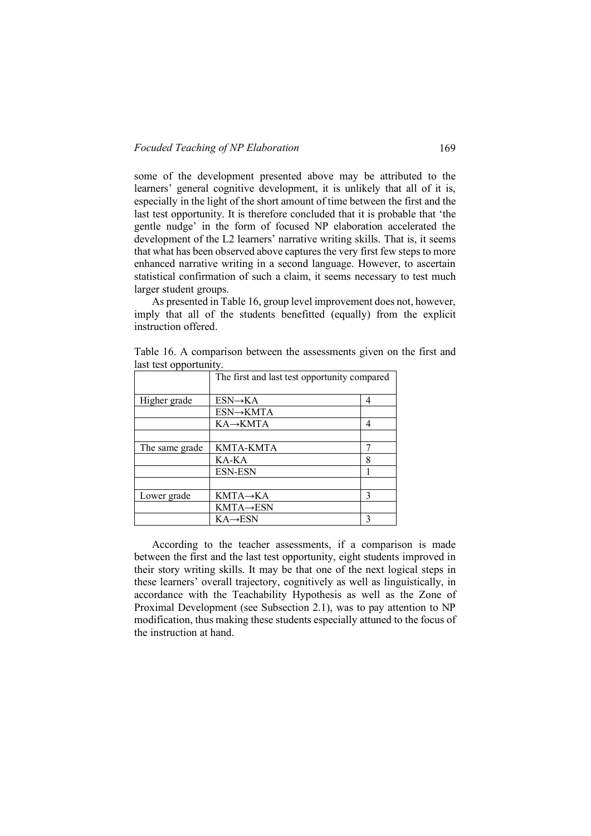some of the development presented above may be attributed to the learners' general cognitive development, it is unlikely that all of it is, especially in the light of the short amount of time between the first and the last test opportunity. It is therefore concluded that it is probable that 'the gentle nudge' in the form of focused NP elaboration accelerated the development of the L2 learners' narrative writing skills. That is, it seems that what has been observed above captures the very first few steps to more enhanced narrative writing in a second language. However, to ascertain statistical confirmation of such a claim, it seems necessary to test much larger student groups.

As presented in Table 16, group level improvement does not, however, imply that all of the students benefitted (equally) from the explicit instruction offered.

|                | The first and last test opportunity compared |   |  |
|----------------|----------------------------------------------|---|--|
| Higher grade   | $ESN \rightarrow KA$                         | 4 |  |
|                | ESN→KMTA                                     |   |  |
|                | $KA \rightarrow KMTA$                        | 4 |  |
|                |                                              |   |  |
| The same grade | KMTA-KMTA                                    |   |  |
|                | KA-KA                                        | 8 |  |
|                | <b>ESN-ESN</b>                               |   |  |
|                |                                              |   |  |
| Lower grade    | KMTA→KA                                      | 3 |  |
|                | $KMTA\rightarrow ESN$                        |   |  |
|                | $KA\rightarrow ESN$                          |   |  |

Table 16. A comparison between the assessments given on the first and last test opportunity.

According to the teacher assessments, if a comparison is made between the first and the last test opportunity, eight students improved in their story writing skills. It may be that one of the next logical steps in these learners' overall trajectory, cognitively as well as linguistically, in accordance with the Teachability Hypothesis as well as the Zone of Proximal Development (see Subsection 2.1), was to pay attention to NP modification, thus making these students especially attuned to the focus of the instruction at hand.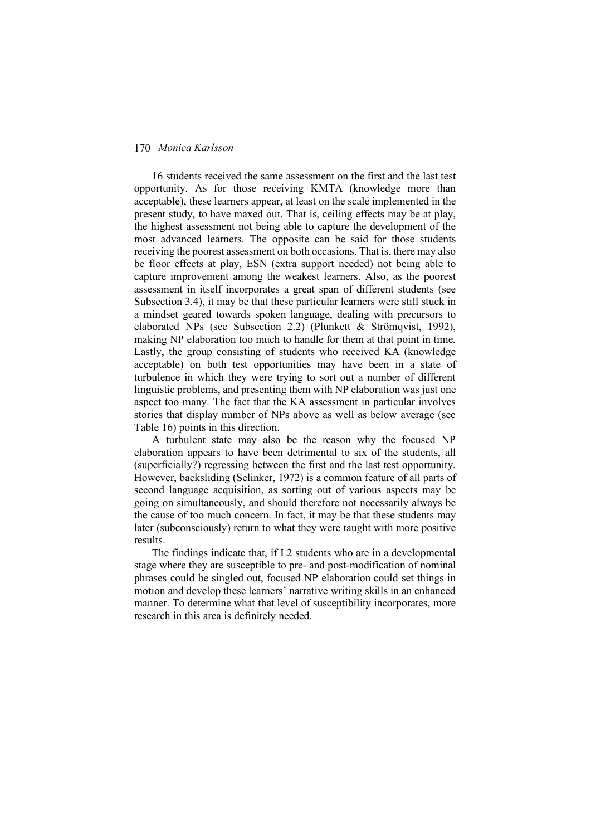16 students received the same assessment on the first and the last test opportunity. As for those receiving KMTA (knowledge more than acceptable), these learners appear, at least on the scale implemented in the present study, to have maxed out. That is, ceiling effects may be at play, the highest assessment not being able to capture the development of the most advanced learners. The opposite can be said for those students receiving the poorest assessment on both occasions. That is, there may also be floor effects at play, ESN (extra support needed) not being able to capture improvement among the weakest learners. Also, as the poorest assessment in itself incorporates a great span of different students (see Subsection 3.4), it may be that these particular learners were still stuck in a mindset geared towards spoken language, dealing with precursors to elaborated NPs (see Subsection 2.2) (Plunkett & Strömqvist, 1992), making NP elaboration too much to handle for them at that point in time. Lastly, the group consisting of students who received KA (knowledge acceptable) on both test opportunities may have been in a state of turbulence in which they were trying to sort out a number of different linguistic problems, and presenting them with NP elaboration was just one aspect too many. The fact that the KA assessment in particular involves stories that display number of NPs above as well as below average (see Table 16) points in this direction.

A turbulent state may also be the reason why the focused NP elaboration appears to have been detrimental to six of the students, all (superficially?) regressing between the first and the last test opportunity. However, backsliding (Selinker, 1972) is a common feature of all parts of second language acquisition, as sorting out of various aspects may be going on simultaneously, and should therefore not necessarily always be the cause of too much concern. In fact, it may be that these students may later (subconsciously) return to what they were taught with more positive results.

The findings indicate that, if L2 students who are in a developmental stage where they are susceptible to pre- and post-modification of nominal phrases could be singled out, focused NP elaboration could set things in motion and develop these learners' narrative writing skills in an enhanced manner. To determine what that level of susceptibility incorporates, more research in this area is definitely needed.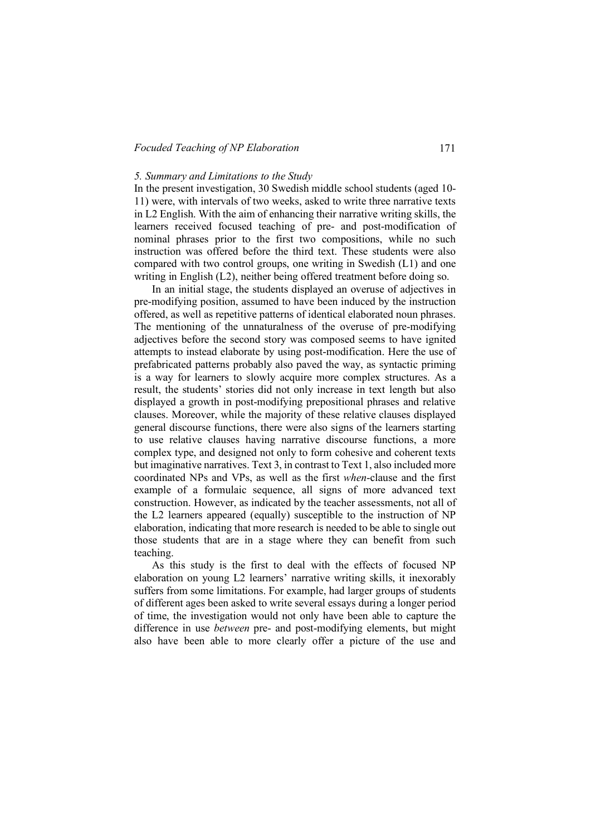### *Focuded Teaching of NP Elaboration* 171

# *5. Summary and Limitations to the Study*

In the present investigation, 30 Swedish middle school students (aged 10- 11) were, with intervals of two weeks, asked to write three narrative texts in L2 English. With the aim of enhancing their narrative writing skills, the learners received focused teaching of pre- and post-modification of nominal phrases prior to the first two compositions, while no such instruction was offered before the third text. These students were also compared with two control groups, one writing in Swedish (L1) and one writing in English (L2), neither being offered treatment before doing so.

In an initial stage, the students displayed an overuse of adjectives in pre-modifying position, assumed to have been induced by the instruction offered, as well as repetitive patterns of identical elaborated noun phrases. The mentioning of the unnaturalness of the overuse of pre-modifying adjectives before the second story was composed seems to have ignited attempts to instead elaborate by using post-modification. Here the use of prefabricated patterns probably also paved the way, as syntactic priming is a way for learners to slowly acquire more complex structures. As a result, the students' stories did not only increase in text length but also displayed a growth in post-modifying prepositional phrases and relative clauses. Moreover, while the majority of these relative clauses displayed general discourse functions, there were also signs of the learners starting to use relative clauses having narrative discourse functions, a more complex type, and designed not only to form cohesive and coherent texts but imaginative narratives. Text 3, in contrast to Text 1, also included more coordinated NPs and VPs, as well as the first *when*-clause and the first example of a formulaic sequence, all signs of more advanced text construction. However, as indicated by the teacher assessments, not all of the L2 learners appeared (equally) susceptible to the instruction of NP elaboration, indicating that more research is needed to be able to single out those students that are in a stage where they can benefit from such teaching.

As this study is the first to deal with the effects of focused NP elaboration on young L2 learners' narrative writing skills, it inexorably suffers from some limitations. For example, had larger groups of students of different ages been asked to write several essays during a longer period of time, the investigation would not only have been able to capture the difference in use *between* pre- and post-modifying elements, but might also have been able to more clearly offer a picture of the use and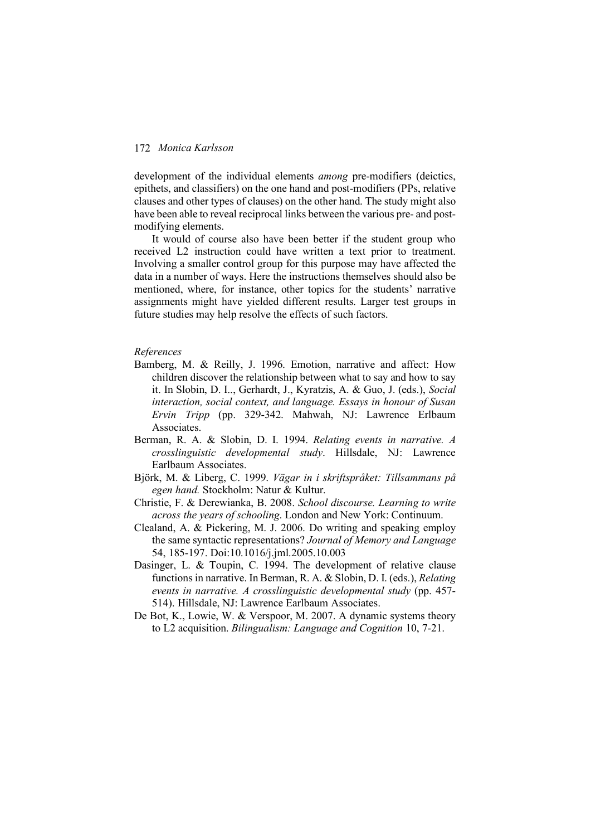development of the individual elements *among* pre-modifiers (deictics, epithets, and classifiers) on the one hand and post-modifiers (PPs, relative clauses and other types of clauses) on the other hand. The study might also have been able to reveal reciprocal links between the various pre- and postmodifying elements.

It would of course also have been better if the student group who received L2 instruction could have written a text prior to treatment. Involving a smaller control group for this purpose may have affected the data in a number of ways. Here the instructions themselves should also be mentioned, where, for instance, other topics for the students' narrative assignments might have yielded different results. Larger test groups in future studies may help resolve the effects of such factors.

#### *References*

- Bamberg, M. & Reilly, J. 1996. Emotion, narrative and affect: How children discover the relationship between what to say and how to say it. In Slobin, D. I.., Gerhardt, J., Kyratzis, A. & Guo, J. (eds.), *Social interaction, social context, and language. Essays in honour of Susan Ervin Tripp* (pp. 329-342. Mahwah, NJ: Lawrence Erlbaum Associates.
- Berman, R. A. & Slobin, D. I. 1994. *Relating events in narrative. A crosslinguistic developmental study*. Hillsdale, NJ: Lawrence Earlbaum Associates.
- Björk, M. & Liberg, C. 1999. *Vägar in i skriftspråket: Tillsammans på egen hand.* Stockholm: Natur & Kultur.
- Christie, F. & Derewianka, B. 2008. *School discourse. Learning to write across the years of schooling*. London and New York: Continuum.
- Clealand, A. & Pickering, M. J. 2006. Do writing and speaking employ the same syntactic representations? *Journal of Memory and Language* 54, 185-197. Doi:10.1016/j.jml.2005.10.003
- Dasinger, L. & Toupin, C. 1994. The development of relative clause functions in narrative. In Berman, R. A. & Slobin, D. I. (eds.), *Relating events in narrative. A crosslinguistic developmental study* (pp. 457- 514). Hillsdale, NJ: Lawrence Earlbaum Associates.
- De Bot, K., Lowie, W. & Verspoor, M. 2007. A dynamic systems theory to L2 acquisition. *Bilingualism: Language and Cognition* 10, 7-21.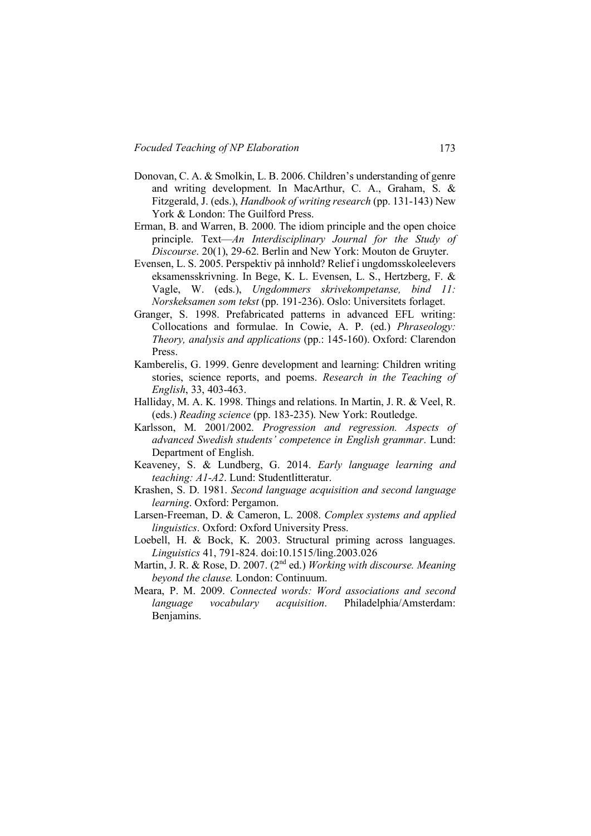- Donovan, C. A. & Smolkin, L. B. 2006. Children's understanding of genre and writing development. In MacArthur, C. A., Graham, S. & Fitzgerald, J. (eds.), *Handbook of writing research* (pp. 131-143) New York & London: The Guilford Press.
- Erman, B. and Warren, B. 2000. The idiom principle and the open choice principle. Text—*An Interdisciplinary Journal for the Study of Discourse*. 20(1), 29-62. Berlin and New York: Mouton de Gruyter.
- Evensen, L. S. 2005. Perspektiv på innhold? Relief i ungdomsskoleelevers eksamensskrivning. In Bege, K. L. Evensen, L. S., Hertzberg, F. & Vagle, W. (eds.), *Ungdommers skrivekompetanse, bind 11: Norskeksamen som tekst* (pp. 191-236). Oslo: Universitets forlaget.
- Granger, S. 1998. Prefabricated patterns in advanced EFL writing: Collocations and formulae. In Cowie, A. P. (ed.) *Phraseology: Theory, analysis and applications* (pp.: 145-160). Oxford: Clarendon Press.
- Kamberelis, G. 1999. Genre development and learning: Children writing stories, science reports, and poems. *Research in the Teaching of English*, 33, 403-463.
- Halliday, M. A. K. 1998. Things and relations. In Martin, J. R. & Veel, R. (eds.) *Reading science* (pp. 183-235). New York: Routledge.
- Karlsson, M. 2001/2002. *Progression and regression. Aspects of advanced Swedish students' competence in English grammar*. Lund: Department of English.
- Keaveney, S. & Lundberg, G. 2014. *Early language learning and teaching: A1-A2*. Lund: Studentlitteratur.
- Krashen, S. D. 1981. *Second language acquisition and second language learning*. Oxford: Pergamon.
- Larsen-Freeman, D. & Cameron, L. 2008. *Complex systems and applied linguistics*. Oxford: Oxford University Press.
- Loebell, H. & Bock, K. 2003. Structural priming across languages. *Linguistics* 41, 791-824. doi:10.1515/ling.2003.026
- Martin, J. R. & Rose, D. 2007. (2nd ed.) *Working with discourse. Meaning beyond the clause.* London: Continuum.
- Meara, P. M. 2009. *Connected words: Word associations and second language vocabulary acquisition*. Philadelphia/Amsterdam: Benjamins.